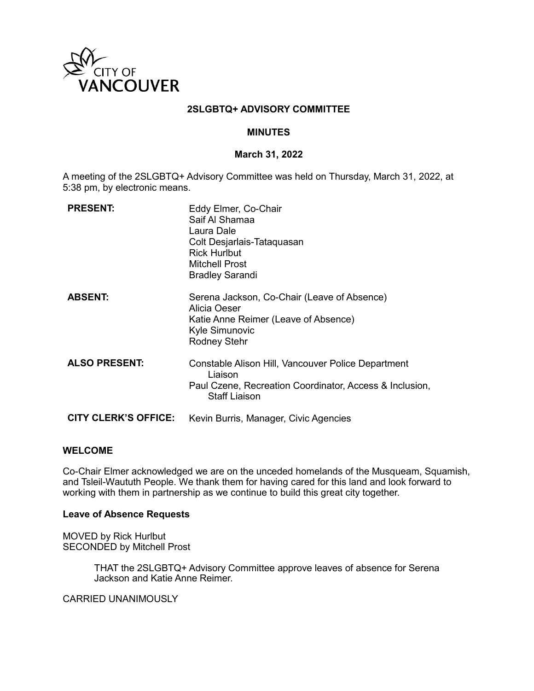

### **2SLGBTQ+ ADVISORY COMMITTEE**

### **MINUTES**

#### **March 31, 2022**

A meeting of the 2SLGBTQ+ Advisory Committee was held on Thursday, March 31, 2022, at 5:38 pm, by electronic means.

| <b>PRESENT:</b>             | Eddy Elmer, Co-Chair<br>Saif Al Shamaa<br>Laura Dale<br>Colt Desjarlais-Tataquasan<br><b>Rick Hurlbut</b><br><b>Mitchell Prost</b><br><b>Bradley Sarandi</b> |
|-----------------------------|--------------------------------------------------------------------------------------------------------------------------------------------------------------|
| <b>ABSENT:</b>              | Serena Jackson, Co-Chair (Leave of Absence)<br>Alicia Oeser<br>Katie Anne Reimer (Leave of Absence)<br>Kyle Simunovic<br><b>Rodney Stehr</b>                 |
| <b>ALSO PRESENT:</b>        | Constable Alison Hill, Vancouver Police Department<br>Liaison<br>Paul Czene, Recreation Coordinator, Access & Inclusion,<br><b>Staff Liaison</b>             |
| <b>CITY CLERK'S OFFICE:</b> | Kevin Burris, Manager, Civic Agencies                                                                                                                        |

#### **WELCOME**

Co-Chair Elmer acknowledged we are on the unceded homelands of the Musqueam, Squamish, and Tsleil-Waututh People. We thank them for having cared for this land and look forward to working with them in partnership as we continue to build this great city together.

#### **Leave of Absence Requests**

MOVED by Rick Hurlbut SECONDED by Mitchell Prost

> THAT the 2SLGBTQ+ Advisory Committee approve leaves of absence for Serena Jackson and Katie Anne Reimer.

CARRIED UNANIMOUSLY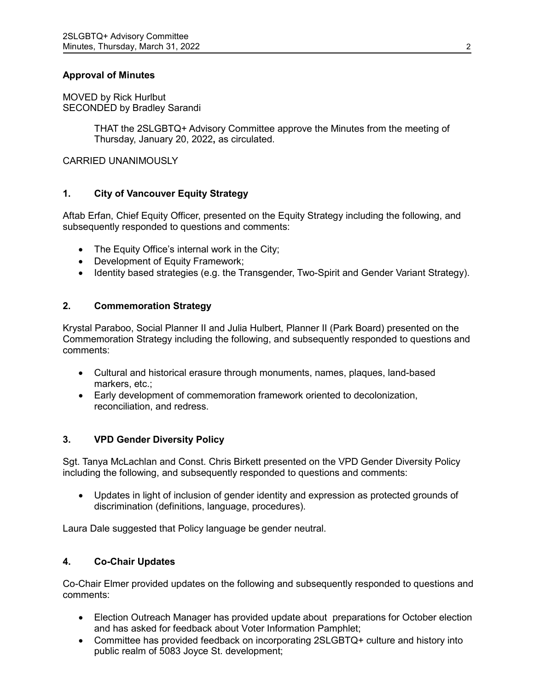## **Approval of Minutes**

MOVED by Rick Hurlbut SECONDED by Bradley Sarandi

> THAT the 2SLGBTQ+ Advisory Committee approve the Minutes from the meeting of Thursday, January 20, 2022**,** as circulated.

CARRIED UNANIMOUSLY

## **1. City of Vancouver Equity Strategy**

Aftab Erfan, Chief Equity Officer, presented on the Equity Strategy including the following, and subsequently responded to questions and comments:

- The Equity Office's internal work in the City;
- Development of Equity Framework;
- Identity based strategies (e.g. the Transgender, Two-Spirit and Gender Variant Strategy).

### **2. Commemoration Strategy**

Krystal Paraboo, Social Planner II and Julia Hulbert, Planner II (Park Board) presented on the Commemoration Strategy including the following, and subsequently responded to questions and comments:

- Cultural and historical erasure through monuments, names, plaques, land-based markers, etc.;
- Early development of commemoration framework oriented to decolonization, reconciliation, and redress.

### **3. VPD Gender Diversity Policy**

Sgt. Tanya McLachlan and Const. Chris Birkett presented on the VPD Gender Diversity Policy including the following, and subsequently responded to questions and comments:

• Updates in light of inclusion of gender identity and expression as protected grounds of discrimination (definitions, language, procedures).

Laura Dale suggested that Policy language be gender neutral.

## **4. Co-Chair Updates**

Co-Chair Elmer provided updates on the following and subsequently responded to questions and comments:

- Election Outreach Manager has provided update about preparations for October election and has asked for feedback about Voter Information Pamphlet;
- Committee has provided feedback on incorporating 2SLGBTQ+ culture and history into public realm of 5083 Joyce St. development;